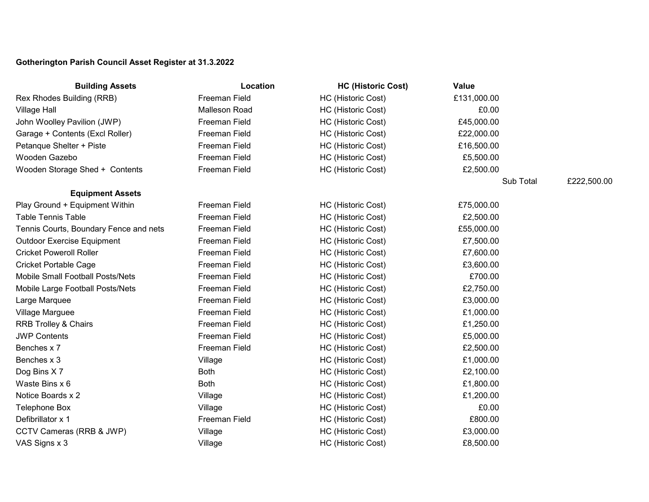## **Gotherington Parish Council Asset Register at 31.3.2022**

| <b>Building Assets</b>                 | Location             | <b>HC (Historic Cost)</b> | Value       |             |
|----------------------------------------|----------------------|---------------------------|-------------|-------------|
| Rex Rhodes Building (RRB)              | Freeman Field        | HC (Historic Cost)        | £131,000.00 |             |
| Village Hall                           | Malleson Road        | HC (Historic Cost)        | £0.00       |             |
| John Woolley Pavilion (JWP)            | Freeman Field        | HC (Historic Cost)        | £45,000.00  |             |
| Garage + Contents (Excl Roller)        | Freeman Field        | HC (Historic Cost)        | £22,000.00  |             |
| Petanque Shelter + Piste               | Freeman Field        | HC (Historic Cost)        | £16,500.00  |             |
| Wooden Gazebo                          | Freeman Field        | HC (Historic Cost)        | £5,500.00   |             |
| Wooden Storage Shed + Contents         | Freeman Field        | HC (Historic Cost)        | £2,500.00   |             |
|                                        |                      |                           | Sub Total   | £222,500.00 |
| <b>Equipment Assets</b>                |                      |                           |             |             |
| Play Ground + Equipment Within         | Freeman Field        | HC (Historic Cost)        | £75,000.00  |             |
| <b>Table Tennis Table</b>              | Freeman Field        | HC (Historic Cost)        | £2,500.00   |             |
| Tennis Courts, Boundary Fence and nets | Freeman Field        | HC (Historic Cost)        | £55,000.00  |             |
| Outdoor Exercise Equipment             | Freeman Field        | HC (Historic Cost)        | £7,500.00   |             |
| <b>Cricket Poweroll Roller</b>         | Freeman Field        | HC (Historic Cost)        | £7,600.00   |             |
| Cricket Portable Cage                  | <b>Freeman Field</b> | HC (Historic Cost)        | £3,600.00   |             |
| Mobile Small Football Posts/Nets       | Freeman Field        | HC (Historic Cost)        | £700.00     |             |
| Mobile Large Football Posts/Nets       | Freeman Field        | HC (Historic Cost)        | £2,750.00   |             |
| Large Marquee                          | Freeman Field        | HC (Historic Cost)        | £3,000.00   |             |
| Village Marguee                        | <b>Freeman Field</b> | HC (Historic Cost)        | £1,000.00   |             |
| <b>RRB Trolley &amp; Chairs</b>        | Freeman Field        | HC (Historic Cost)        | £1,250.00   |             |
| <b>JWP Contents</b>                    | Freeman Field        | HC (Historic Cost)        | £5,000.00   |             |
| Benches x 7                            | Freeman Field        | HC (Historic Cost)        | £2,500.00   |             |
| Benches x 3                            | Village              | HC (Historic Cost)        | £1,000.00   |             |
| Dog Bins X7                            | <b>Both</b>          | HC (Historic Cost)        | £2,100.00   |             |
| Waste Bins x 6                         | <b>Both</b>          | HC (Historic Cost)        | £1,800.00   |             |
| Notice Boards x 2                      | Village              | HC (Historic Cost)        | £1,200.00   |             |
| Telephone Box                          | Village              | HC (Historic Cost)        | £0.00       |             |
| Defibrillator x 1                      | Freeman Field        | HC (Historic Cost)        | £800.00     |             |
| CCTV Cameras (RRB & JWP)               | Village              | HC (Historic Cost)        | £3,000.00   |             |
| VAS Signs x 3                          | Village              | HC (Historic Cost)        | £8,500.00   |             |